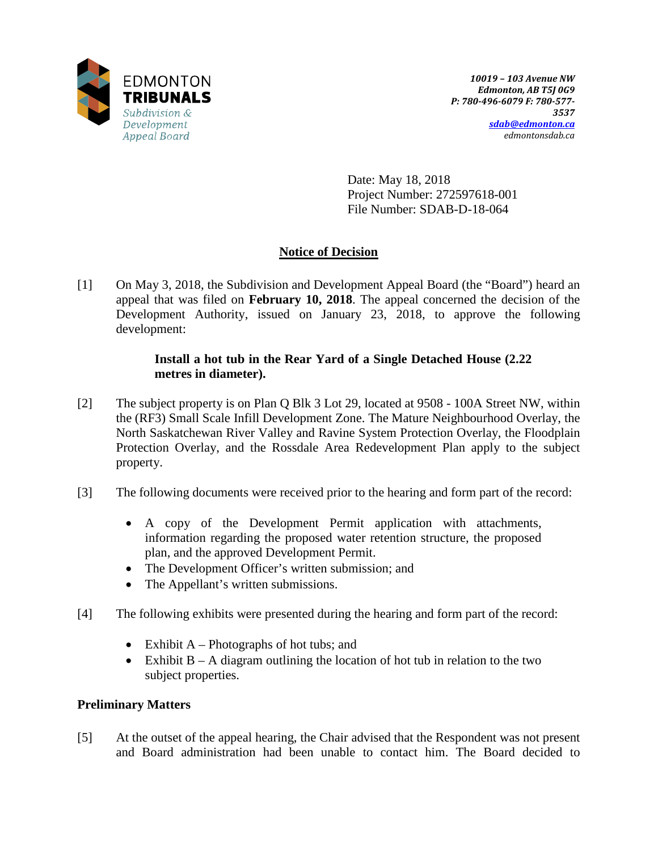

Date: May 18, 2018 Project Number: 272597618-001 File Number: SDAB-D-18-064

# **Notice of Decision**

[1] On May 3, 2018, the Subdivision and Development Appeal Board (the "Board") heard an appeal that was filed on **February 10, 2018**. The appeal concerned the decision of the Development Authority, issued on January 23, 2018, to approve the following development:

### **Install a hot tub in the Rear Yard of a Single Detached House (2.22 metres in diameter).**

- [2] The subject property is on Plan Q Blk 3 Lot 29, located at 9508 100A Street NW, within the (RF3) Small Scale Infill Development Zone. The Mature Neighbourhood Overlay, the North Saskatchewan River Valley and Ravine System Protection Overlay, the Floodplain Protection Overlay, and the Rossdale Area Redevelopment Plan apply to the subject property.
- [3] The following documents were received prior to the hearing and form part of the record:
	- A copy of the Development Permit application with attachments, information regarding the proposed water retention structure, the proposed plan, and the approved Development Permit.
	- The Development Officer's written submission; and
	- The Appellant's written submissions.
- [4] The following exhibits were presented during the hearing and form part of the record:
	- Exhibit  $A Photography$  of hot tubs; and
	- Exhibit  $B A$  diagram outlining the location of hot tub in relation to the two subject properties.

## **Preliminary Matters**

[5] At the outset of the appeal hearing, the Chair advised that the Respondent was not present and Board administration had been unable to contact him. The Board decided to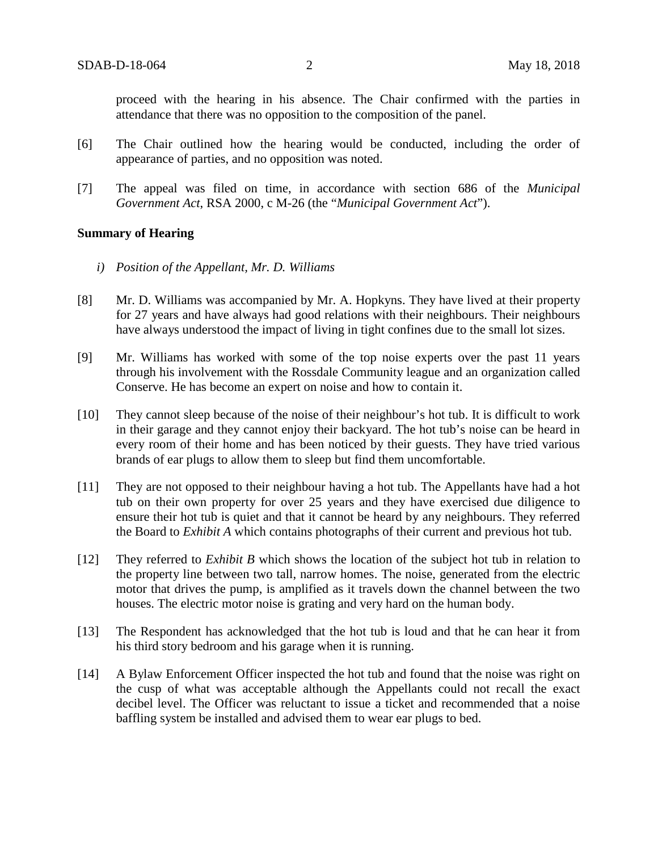proceed with the hearing in his absence. The Chair confirmed with the parties in attendance that there was no opposition to the composition of the panel.

- [6] The Chair outlined how the hearing would be conducted, including the order of appearance of parties, and no opposition was noted.
- [7] The appeal was filed on time, in accordance with section 686 of the *Municipal Government Act*, RSA 2000, c M-26 (the "*Municipal Government Act*").

#### **Summary of Hearing**

- *i) Position of the Appellant, Mr. D. Williams*
- [8] Mr. D. Williams was accompanied by Mr. A. Hopkyns. They have lived at their property for 27 years and have always had good relations with their neighbours. Their neighbours have always understood the impact of living in tight confines due to the small lot sizes.
- [9] Mr. Williams has worked with some of the top noise experts over the past 11 years through his involvement with the Rossdale Community league and an organization called Conserve. He has become an expert on noise and how to contain it.
- [10] They cannot sleep because of the noise of their neighbour's hot tub. It is difficult to work in their garage and they cannot enjoy their backyard. The hot tub's noise can be heard in every room of their home and has been noticed by their guests. They have tried various brands of ear plugs to allow them to sleep but find them uncomfortable.
- [11] They are not opposed to their neighbour having a hot tub. The Appellants have had a hot tub on their own property for over 25 years and they have exercised due diligence to ensure their hot tub is quiet and that it cannot be heard by any neighbours. They referred the Board to *Exhibit A* which contains photographs of their current and previous hot tub.
- [12] They referred to *Exhibit B* which shows the location of the subject hot tub in relation to the property line between two tall, narrow homes. The noise, generated from the electric motor that drives the pump, is amplified as it travels down the channel between the two houses. The electric motor noise is grating and very hard on the human body.
- [13] The Respondent has acknowledged that the hot tub is loud and that he can hear it from his third story bedroom and his garage when it is running.
- [14] A Bylaw Enforcement Officer inspected the hot tub and found that the noise was right on the cusp of what was acceptable although the Appellants could not recall the exact decibel level. The Officer was reluctant to issue a ticket and recommended that a noise baffling system be installed and advised them to wear ear plugs to bed.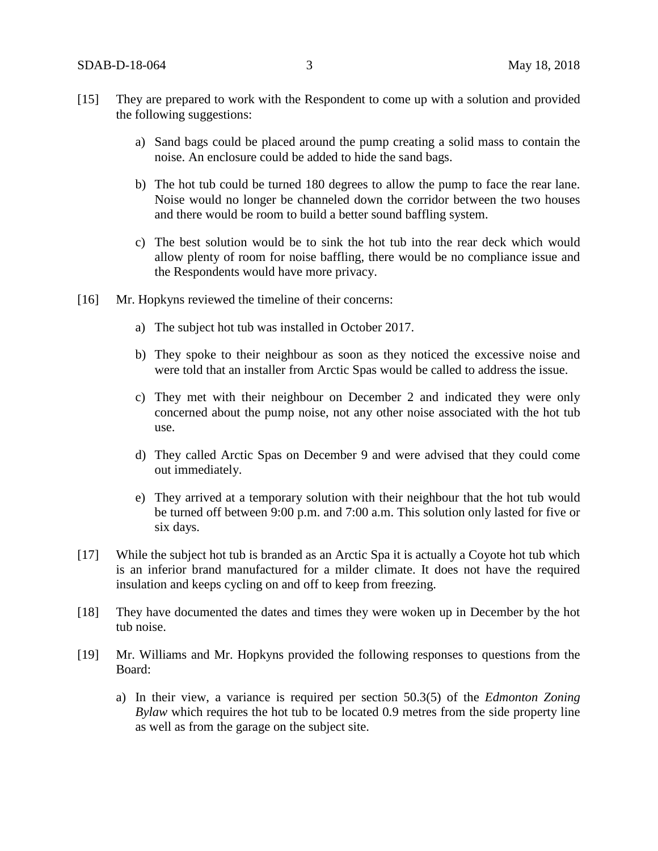- [15] They are prepared to work with the Respondent to come up with a solution and provided the following suggestions:
	- a) Sand bags could be placed around the pump creating a solid mass to contain the noise. An enclosure could be added to hide the sand bags.
	- b) The hot tub could be turned 180 degrees to allow the pump to face the rear lane. Noise would no longer be channeled down the corridor between the two houses and there would be room to build a better sound baffling system.
	- c) The best solution would be to sink the hot tub into the rear deck which would allow plenty of room for noise baffling, there would be no compliance issue and the Respondents would have more privacy.
- [16] Mr. Hopkyns reviewed the timeline of their concerns:
	- a) The subject hot tub was installed in October 2017.
	- b) They spoke to their neighbour as soon as they noticed the excessive noise and were told that an installer from Arctic Spas would be called to address the issue.
	- c) They met with their neighbour on December 2 and indicated they were only concerned about the pump noise, not any other noise associated with the hot tub use.
	- d) They called Arctic Spas on December 9 and were advised that they could come out immediately.
	- e) They arrived at a temporary solution with their neighbour that the hot tub would be turned off between 9:00 p.m. and 7:00 a.m. This solution only lasted for five or six days.
- [17] While the subject hot tub is branded as an Arctic Spa it is actually a Coyote hot tub which is an inferior brand manufactured for a milder climate. It does not have the required insulation and keeps cycling on and off to keep from freezing.
- [18] They have documented the dates and times they were woken up in December by the hot tub noise.
- [19] Mr. Williams and Mr. Hopkyns provided the following responses to questions from the Board:
	- a) In their view, a variance is required per section 50.3(5) of the *Edmonton Zoning Bylaw* which requires the hot tub to be located 0.9 metres from the side property line as well as from the garage on the subject site.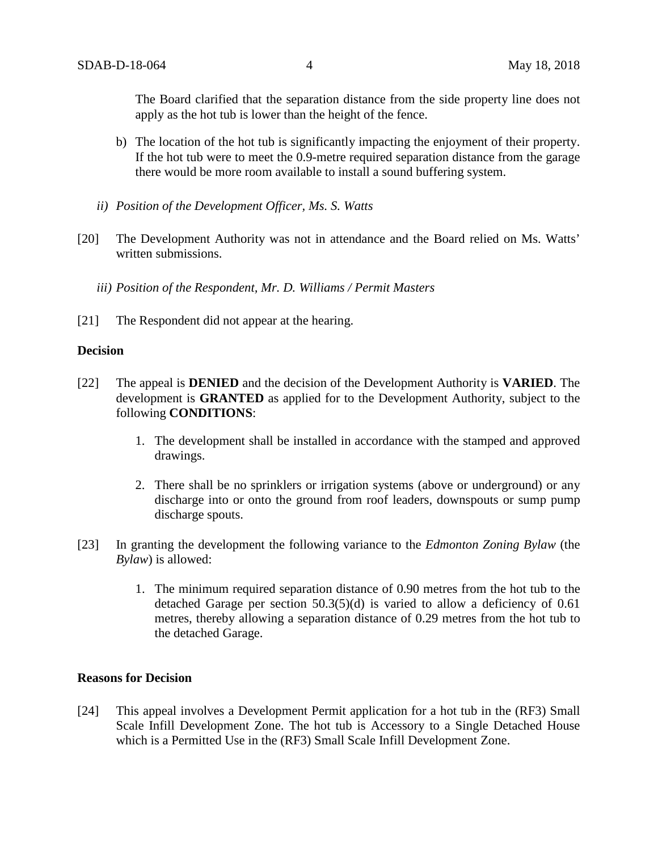The Board clarified that the separation distance from the side property line does not apply as the hot tub is lower than the height of the fence.

- b) The location of the hot tub is significantly impacting the enjoyment of their property. If the hot tub were to meet the 0.9-metre required separation distance from the garage there would be more room available to install a sound buffering system.
- *ii) Position of the Development Officer, Ms. S. Watts*
- [20] The Development Authority was not in attendance and the Board relied on Ms. Watts' written submissions.
	- *iii) Position of the Respondent, Mr. D. Williams / Permit Masters*
- [21] The Respondent did not appear at the hearing.

### **Decision**

- [22] The appeal is **DENIED** and the decision of the Development Authority is **VARIED**. The development is **GRANTED** as applied for to the Development Authority, subject to the following **CONDITIONS**:
	- 1. The development shall be installed in accordance with the stamped and approved drawings.
	- 2. There shall be no sprinklers or irrigation systems (above or underground) or any discharge into or onto the ground from roof leaders, downspouts or sump pump discharge spouts.
- [23] In granting the development the following variance to the *Edmonton Zoning Bylaw* (the *Bylaw*) is allowed:
	- 1. The minimum required separation distance of 0.90 metres from the hot tub to the detached Garage per section 50.3(5)(d) is varied to allow a deficiency of 0.61 metres, thereby allowing a separation distance of 0.29 metres from the hot tub to the detached Garage.

#### **Reasons for Decision**

[24] This appeal involves a Development Permit application for a hot tub in the (RF3) Small Scale Infill Development Zone. The hot tub is Accessory to a Single Detached House which is a Permitted Use in the (RF3) Small Scale Infill Development Zone.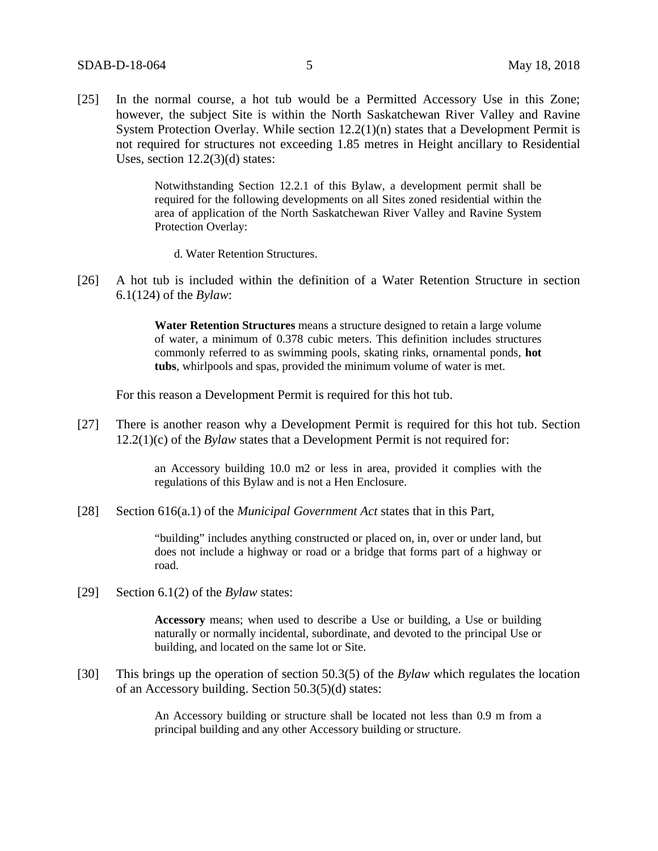[25] In the normal course, a hot tub would be a Permitted Accessory Use in this Zone; however, the subject Site is within the North Saskatchewan River Valley and Ravine System Protection Overlay. While section  $12.2(1)(n)$  states that a Development Permit is not required for structures not exceeding 1.85 metres in Height ancillary to Residential Uses, section 12.2(3)(d) states:

> Notwithstanding Section 12.2.1 of this Bylaw, a development permit shall be required for the following developments on all Sites zoned residential within the area of application of the North Saskatchewan River Valley and Ravine System Protection Overlay:

- d. Water Retention Structures.
- [26] A hot tub is included within the definition of a Water Retention Structure in section 6.1(124) of the *Bylaw*:

**Water Retention Structures** means a structure designed to retain a large volume of water, a minimum of 0.378 cubic meters. This definition includes structures commonly referred to as swimming pools, skating rinks, ornamental ponds, **hot tubs**, whirlpools and spas, provided the minimum volume of water is met.

For this reason a Development Permit is required for this hot tub.

[27] There is another reason why a Development Permit is required for this hot tub. Section 12.2(1)(c) of the *Bylaw* states that a Development Permit is not required for:

> an Accessory building [10.0 m2](https://webdocs.edmonton.ca/InfraPlan/zoningbylaw/ZoningBylaw/Measurements/ia10.htm) or less in area, provided it complies with the regulations of this Bylaw and is not a Hen Enclosure.

[28] Section 616(a.1) of the *Municipal Government Act* states that in this Part,

"building" includes anything constructed or placed on, in, over or under land, but does not include a highway or road or a bridge that forms part of a highway or road.

[29] Section 6.1(2) of the *Bylaw* states:

**Accessory** means; when used to describe a Use or building, a Use or building naturally or normally incidental, subordinate, and devoted to the principal Use or building, and located on the same lot or Site.

[30] This brings up the operation of section 50.3(5) of the *Bylaw* which regulates the location of an Accessory building. Section 50.3(5)(d) states:

> An Accessory building or structure shall be located not less than 0.9 m from a principal building and any other Accessory building or structure.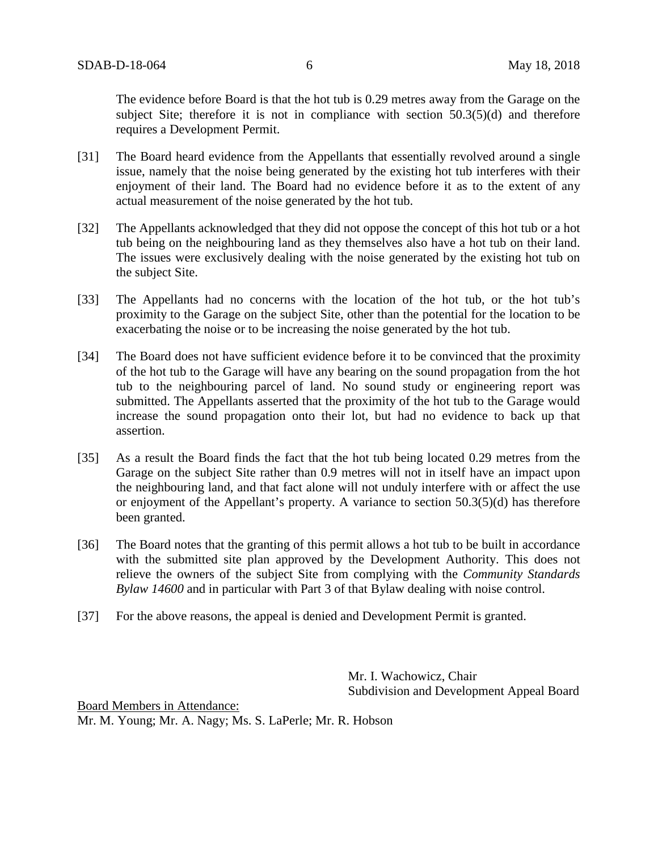The evidence before Board is that the hot tub is 0.29 metres away from the Garage on the subject Site; therefore it is not in compliance with section 50.3(5)(d) and therefore requires a Development Permit.

- [31] The Board heard evidence from the Appellants that essentially revolved around a single issue, namely that the noise being generated by the existing hot tub interferes with their enjoyment of their land. The Board had no evidence before it as to the extent of any actual measurement of the noise generated by the hot tub.
- [32] The Appellants acknowledged that they did not oppose the concept of this hot tub or a hot tub being on the neighbouring land as they themselves also have a hot tub on their land. The issues were exclusively dealing with the noise generated by the existing hot tub on the subject Site.
- [33] The Appellants had no concerns with the location of the hot tub, or the hot tub's proximity to the Garage on the subject Site, other than the potential for the location to be exacerbating the noise or to be increasing the noise generated by the hot tub.
- [34] The Board does not have sufficient evidence before it to be convinced that the proximity of the hot tub to the Garage will have any bearing on the sound propagation from the hot tub to the neighbouring parcel of land. No sound study or engineering report was submitted. The Appellants asserted that the proximity of the hot tub to the Garage would increase the sound propagation onto their lot, but had no evidence to back up that assertion.
- [35] As a result the Board finds the fact that the hot tub being located 0.29 metres from the Garage on the subject Site rather than 0.9 metres will not in itself have an impact upon the neighbouring land, and that fact alone will not unduly interfere with or affect the use or enjoyment of the Appellant's property. A variance to section 50.3(5)(d) has therefore been granted.
- [36] The Board notes that the granting of this permit allows a hot tub to be built in accordance with the submitted site plan approved by the Development Authority. This does not relieve the owners of the subject Site from complying with the *Community Standards Bylaw 14600* and in particular with Part 3 of that Bylaw dealing with noise control.
- [37] For the above reasons, the appeal is denied and Development Permit is granted.

Mr. I. Wachowicz, Chair Subdivision and Development Appeal Board

Board Members in Attendance: Mr. M. Young; Mr. A. Nagy; Ms. S. LaPerle; Mr. R. Hobson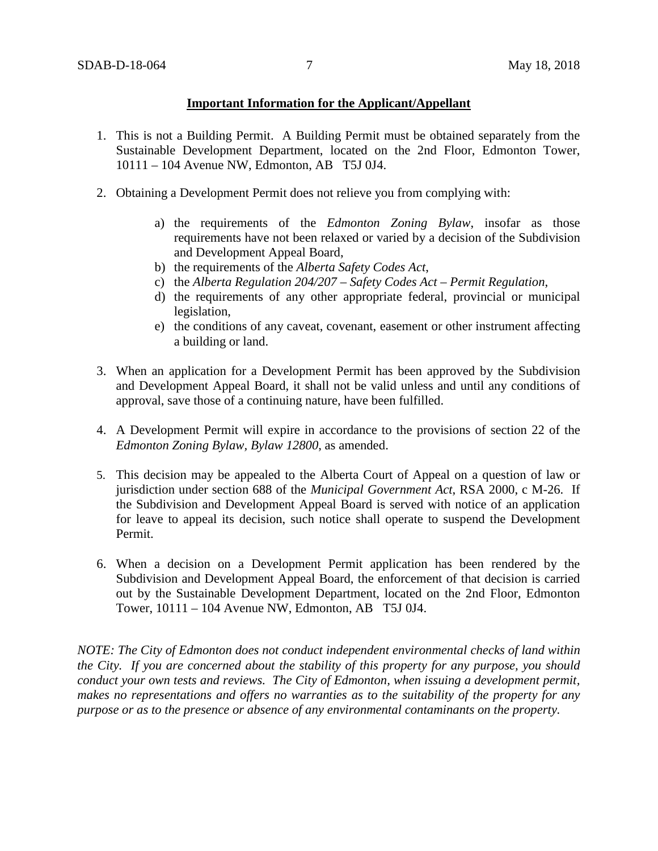### **Important Information for the Applicant/Appellant**

- 1. This is not a Building Permit. A Building Permit must be obtained separately from the Sustainable Development Department, located on the 2nd Floor, Edmonton Tower, 10111 – 104 Avenue NW, Edmonton, AB T5J 0J4.
- 2. Obtaining a Development Permit does not relieve you from complying with:
	- a) the requirements of the *Edmonton Zoning Bylaw*, insofar as those requirements have not been relaxed or varied by a decision of the Subdivision and Development Appeal Board,
	- b) the requirements of the *Alberta Safety Codes Act*,
	- c) the *Alberta Regulation 204/207 – Safety Codes Act – Permit Regulation*,
	- d) the requirements of any other appropriate federal, provincial or municipal legislation,
	- e) the conditions of any caveat, covenant, easement or other instrument affecting a building or land.
- 3. When an application for a Development Permit has been approved by the Subdivision and Development Appeal Board, it shall not be valid unless and until any conditions of approval, save those of a continuing nature, have been fulfilled.
- 4. A Development Permit will expire in accordance to the provisions of section 22 of the *Edmonton Zoning Bylaw, Bylaw 12800*, as amended.
- 5. This decision may be appealed to the Alberta Court of Appeal on a question of law or jurisdiction under section 688 of the *Municipal Government Act*, RSA 2000, c M-26. If the Subdivision and Development Appeal Board is served with notice of an application for leave to appeal its decision, such notice shall operate to suspend the Development Permit.
- 6. When a decision on a Development Permit application has been rendered by the Subdivision and Development Appeal Board, the enforcement of that decision is carried out by the Sustainable Development Department, located on the 2nd Floor, Edmonton Tower, 10111 – 104 Avenue NW, Edmonton, AB T5J 0J4.

*NOTE: The City of Edmonton does not conduct independent environmental checks of land within the City. If you are concerned about the stability of this property for any purpose, you should conduct your own tests and reviews. The City of Edmonton, when issuing a development permit, makes no representations and offers no warranties as to the suitability of the property for any purpose or as to the presence or absence of any environmental contaminants on the property.*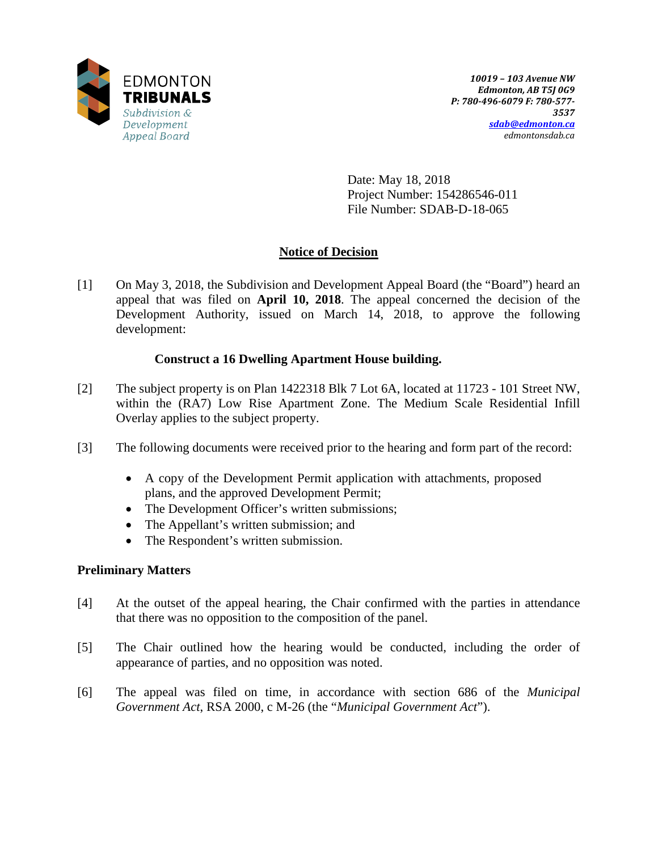

Date: May 18, 2018 Project Number: 154286546-011 File Number: SDAB-D-18-065

# **Notice of Decision**

[1] On May 3, 2018, the Subdivision and Development Appeal Board (the "Board") heard an appeal that was filed on **April 10, 2018**. The appeal concerned the decision of the Development Authority, issued on March 14, 2018, to approve the following development:

# **Construct a 16 Dwelling Apartment House building.**

- [2] The subject property is on Plan 1422318 Blk 7 Lot 6A, located at 11723 101 Street NW, within the (RA7) Low Rise Apartment Zone. The Medium Scale Residential Infill Overlay applies to the subject property.
- [3] The following documents were received prior to the hearing and form part of the record:
	- A copy of the Development Permit application with attachments, proposed plans, and the approved Development Permit;
	- The Development Officer's written submissions;
	- The Appellant's written submission; and
	- The Respondent's written submission.

## **Preliminary Matters**

- [4] At the outset of the appeal hearing, the Chair confirmed with the parties in attendance that there was no opposition to the composition of the panel.
- [5] The Chair outlined how the hearing would be conducted, including the order of appearance of parties, and no opposition was noted.
- [6] The appeal was filed on time, in accordance with section 686 of the *Municipal Government Act*, RSA 2000, c M-26 (the "*Municipal Government Act*").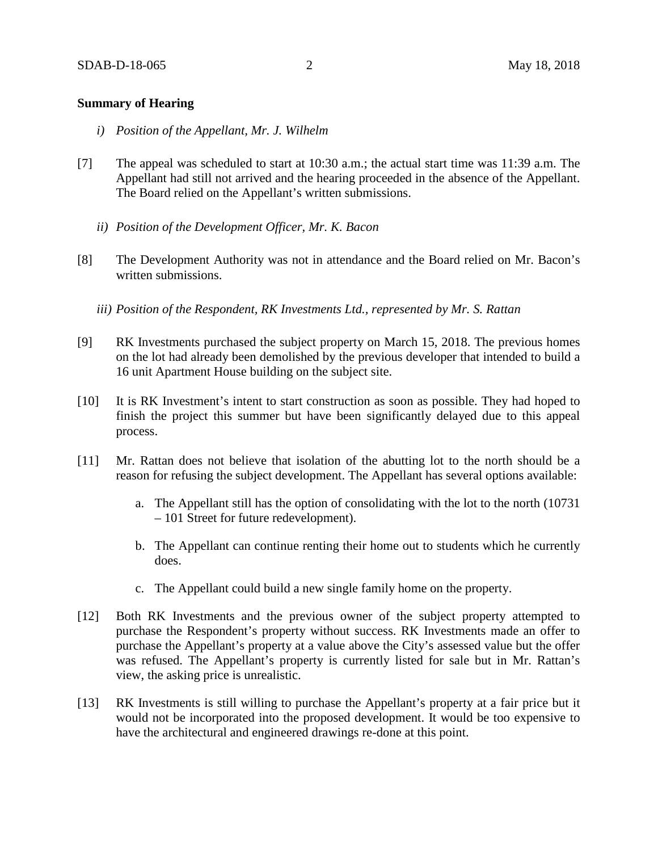### **Summary of Hearing**

- *i) Position of the Appellant, Mr. J. Wilhelm*
- [7] The appeal was scheduled to start at 10:30 a.m.; the actual start time was 11:39 a.m. The Appellant had still not arrived and the hearing proceeded in the absence of the Appellant. The Board relied on the Appellant's written submissions.
	- *ii) Position of the Development Officer, Mr. K. Bacon*
- [8] The Development Authority was not in attendance and the Board relied on Mr. Bacon's written submissions.
	- *iii) Position of the Respondent, RK Investments Ltd., represented by Mr. S. Rattan*
- [9] RK Investments purchased the subject property on March 15, 2018. The previous homes on the lot had already been demolished by the previous developer that intended to build a 16 unit Apartment House building on the subject site.
- [10] It is RK Investment's intent to start construction as soon as possible. They had hoped to finish the project this summer but have been significantly delayed due to this appeal process.
- [11] Mr. Rattan does not believe that isolation of the abutting lot to the north should be a reason for refusing the subject development. The Appellant has several options available:
	- a. The Appellant still has the option of consolidating with the lot to the north (10731 – 101 Street for future redevelopment).
	- b. The Appellant can continue renting their home out to students which he currently does.
	- c. The Appellant could build a new single family home on the property.
- [12] Both RK Investments and the previous owner of the subject property attempted to purchase the Respondent's property without success. RK Investments made an offer to purchase the Appellant's property at a value above the City's assessed value but the offer was refused. The Appellant's property is currently listed for sale but in Mr. Rattan's view, the asking price is unrealistic.
- [13] RK Investments is still willing to purchase the Appellant's property at a fair price but it would not be incorporated into the proposed development. It would be too expensive to have the architectural and engineered drawings re-done at this point.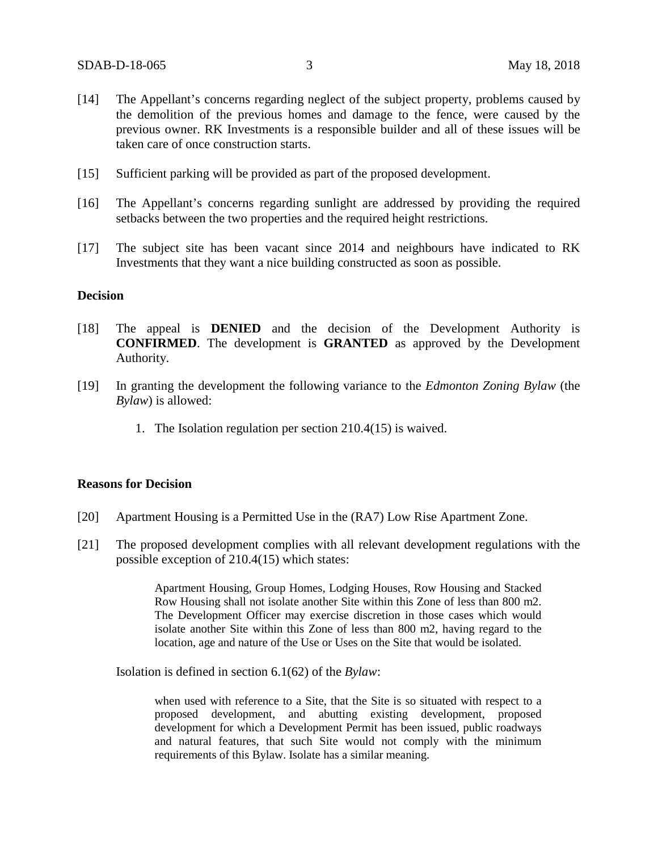- [14] The Appellant's concerns regarding neglect of the subject property, problems caused by the demolition of the previous homes and damage to the fence, were caused by the previous owner. RK Investments is a responsible builder and all of these issues will be taken care of once construction starts.
- [15] Sufficient parking will be provided as part of the proposed development.
- [16] The Appellant's concerns regarding sunlight are addressed by providing the required setbacks between the two properties and the required height restrictions.
- [17] The subject site has been vacant since 2014 and neighbours have indicated to RK Investments that they want a nice building constructed as soon as possible.

### **Decision**

- [18] The appeal is **DENIED** and the decision of the Development Authority is **CONFIRMED**. The development is **GRANTED** as approved by the Development Authority.
- [19] In granting the development the following variance to the *Edmonton Zoning Bylaw* (the *Bylaw*) is allowed:
	- 1. The Isolation regulation per section 210.4(15) is waived.

### **Reasons for Decision**

- [20] Apartment Housing is a Permitted Use in the (RA7) Low Rise Apartment Zone.
- [21] The proposed development complies with all relevant development regulations with the possible exception of 210.4(15) which states:

Apartment Housing, Group Homes, Lodging Houses, Row Housing and Stacked Row Housing shall not isolate another Site within this Zone of less than 800 m2. The Development Officer may exercise discretion in those cases which would isolate another Site within this Zone of less than 800 m2, having regard to the location, age and nature of the Use or Uses on the Site that would be isolated.

Isolation is defined in section 6.1(62) of the *Bylaw*:

when used with reference to a Site, that the Site is so situated with respect to a proposed development, and abutting existing development, proposed development for which a Development Permit has been issued, public roadways and natural features, that such Site would not comply with the minimum requirements of this Bylaw. Isolate has a similar meaning.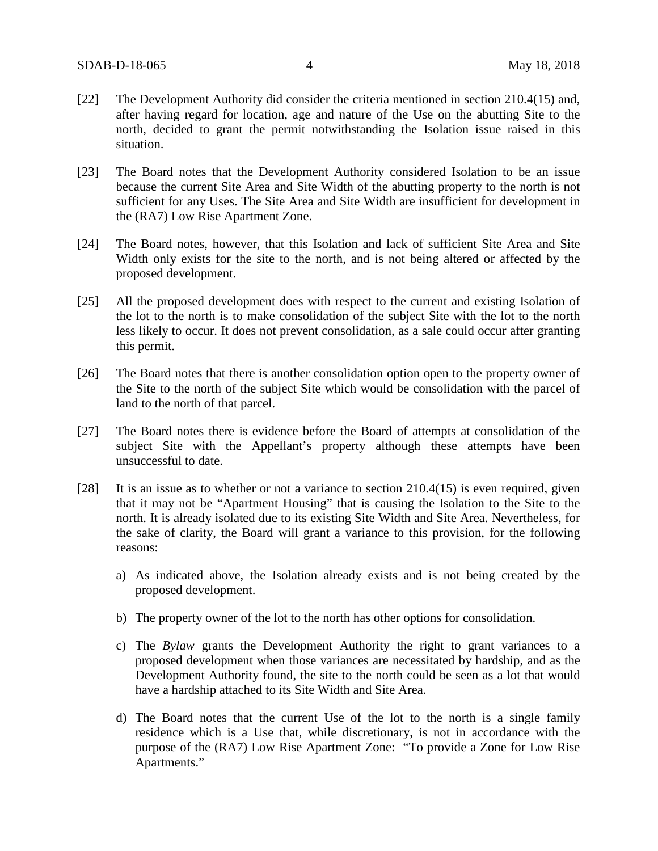- [22] The Development Authority did consider the criteria mentioned in section 210.4(15) and, after having regard for location, age and nature of the Use on the abutting Site to the north, decided to grant the permit notwithstanding the Isolation issue raised in this situation.
- [23] The Board notes that the Development Authority considered Isolation to be an issue because the current Site Area and Site Width of the abutting property to the north is not sufficient for any Uses. The Site Area and Site Width are insufficient for development in the (RA7) Low Rise Apartment Zone.
- [24] The Board notes, however, that this Isolation and lack of sufficient Site Area and Site Width only exists for the site to the north, and is not being altered or affected by the proposed development.
- [25] All the proposed development does with respect to the current and existing Isolation of the lot to the north is to make consolidation of the subject Site with the lot to the north less likely to occur. It does not prevent consolidation, as a sale could occur after granting this permit.
- [26] The Board notes that there is another consolidation option open to the property owner of the Site to the north of the subject Site which would be consolidation with the parcel of land to the north of that parcel.
- [27] The Board notes there is evidence before the Board of attempts at consolidation of the subject Site with the Appellant's property although these attempts have been unsuccessful to date.
- [28] It is an issue as to whether or not a variance to section 210.4(15) is even required, given that it may not be "Apartment Housing" that is causing the Isolation to the Site to the north. It is already isolated due to its existing Site Width and Site Area. Nevertheless, for the sake of clarity, the Board will grant a variance to this provision, for the following reasons:
	- a) As indicated above, the Isolation already exists and is not being created by the proposed development.
	- b) The property owner of the lot to the north has other options for consolidation.
	- c) The *Bylaw* grants the Development Authority the right to grant variances to a proposed development when those variances are necessitated by hardship, and as the Development Authority found, the site to the north could be seen as a lot that would have a hardship attached to its Site Width and Site Area.
	- d) The Board notes that the current Use of the lot to the north is a single family residence which is a Use that, while discretionary, is not in accordance with the purpose of the (RA7) Low Rise Apartment Zone: "To provide a Zone for Low Rise Apartments."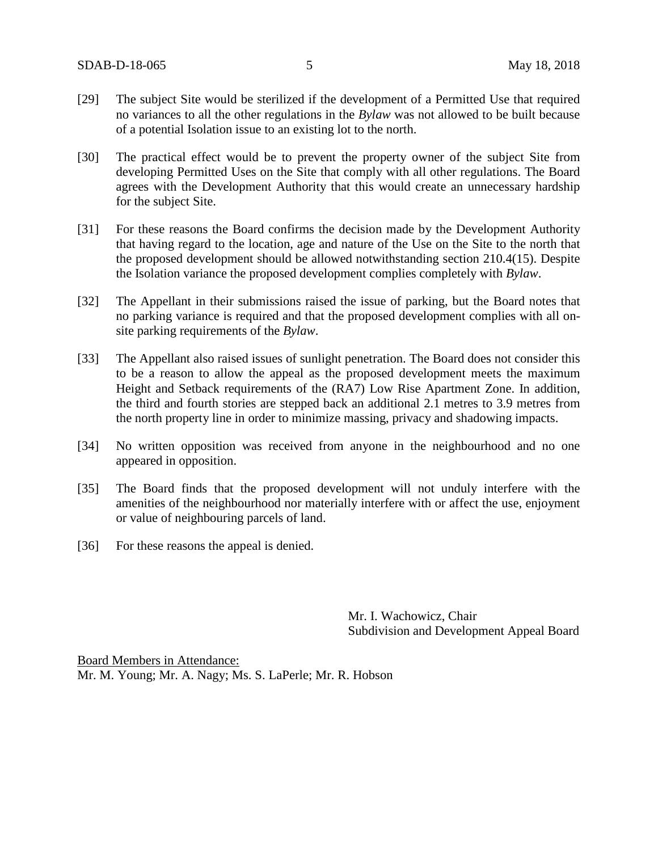- [29] The subject Site would be sterilized if the development of a Permitted Use that required no variances to all the other regulations in the *Bylaw* was not allowed to be built because of a potential Isolation issue to an existing lot to the north.
- [30] The practical effect would be to prevent the property owner of the subject Site from developing Permitted Uses on the Site that comply with all other regulations. The Board agrees with the Development Authority that this would create an unnecessary hardship for the subject Site.
- [31] For these reasons the Board confirms the decision made by the Development Authority that having regard to the location, age and nature of the Use on the Site to the north that the proposed development should be allowed notwithstanding section 210.4(15). Despite the Isolation variance the proposed development complies completely with *Bylaw*.
- [32] The Appellant in their submissions raised the issue of parking, but the Board notes that no parking variance is required and that the proposed development complies with all onsite parking requirements of the *Bylaw*.
- [33] The Appellant also raised issues of sunlight penetration. The Board does not consider this to be a reason to allow the appeal as the proposed development meets the maximum Height and Setback requirements of the (RA7) Low Rise Apartment Zone. In addition, the third and fourth stories are stepped back an additional 2.1 metres to 3.9 metres from the north property line in order to minimize massing, privacy and shadowing impacts.
- [34] No written opposition was received from anyone in the neighbourhood and no one appeared in opposition.
- [35] The Board finds that the proposed development will not unduly interfere with the amenities of the neighbourhood nor materially interfere with or affect the use, enjoyment or value of neighbouring parcels of land.
- [36] For these reasons the appeal is denied.

Mr. I. Wachowicz, Chair Subdivision and Development Appeal Board

Board Members in Attendance: Mr. M. Young; Mr. A. Nagy; Ms. S. LaPerle; Mr. R. Hobson